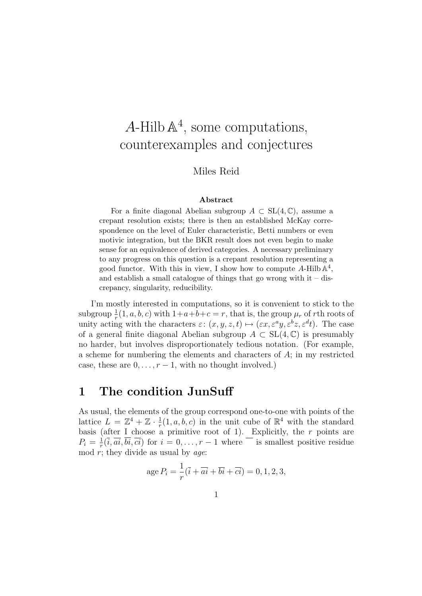# A-Hilb  $\mathbb{A}^4$ , some computations, counterexamples and conjectures

### Miles Reid

#### Abstract

For a finite diagonal Abelian subgroup  $A \subset SL(4,\mathbb{C})$ , assume a crepant resolution exists; there is then an established McKay correspondence on the level of Euler characteristic, Betti numbers or even motivic integration, but the BKR result does not even begin to make sense for an equivalence of derived categories. A necessary preliminary to any progress on this question is a crepant resolution representing a good functor. With this in view, I show how to compute  $A$ -Hilb  $\mathbb{A}^4$ , and establish a small catalogue of things that go wrong with  $it - dis$ crepancy, singularity, reducibility.

I'm mostly interested in computations, so it is convenient to stick to the subgroup  $\frac{1}{r}(1, a, b, c)$  with  $1+a+b+c=r$ , that is, the group  $\mu_r$  of rth roots of subgroup  $r_r(x, u, b, c)$  with  $1 + u + b + c = r$ , that is, the group  $\mu_r$  of run roots of unity acting with the characters  $\varepsilon: (x, y, z, t) \mapsto (\varepsilon x, \varepsilon^a y, \varepsilon^b z, \varepsilon^d t)$ . The case of a general finite diagonal Abelian subgroup  $A \subset SL(4,\mathbb{C})$  is presumably no harder, but involves disproportionately tedious notation. (For example, a scheme for numbering the elements and characters of  $A$ ; in my restricted case, these are  $0, \ldots, r-1$ , with no thought involved.)

## 1 The condition JunSuff

As usual, the elements of the group correspond one-to-one with points of the lattice  $L = \mathbb{Z}^4 + \mathbb{Z} \cdot \frac{1}{r}$  $\frac{1}{r}(1, a, b, c)$  in the unit cube of  $\mathbb{R}^4$  with the standard basis (after  $I$  choose a primitive root of 1). Explicitly, the r points are  $P_i = \frac{1}{r}$  $\frac{1}{r}(\overline{i}, \overline{ai}, \overline{bi}, \overline{ci})$  for  $i = 0, \ldots, r - 1$  where is smallest positive residue mod  $r$ ; they divide as usual by *age*:

age 
$$
P_i = \frac{1}{r}(\overline{i} + \overline{ai} + \overline{bi} + \overline{ci}) = 0, 1, 2, 3,
$$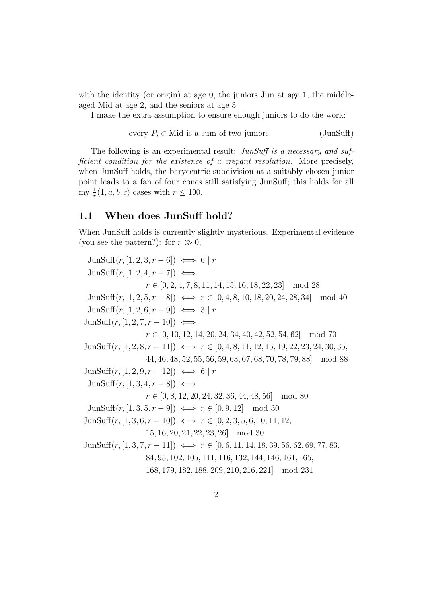with the identity (or origin) at age 0, the juniors Jun at age 1, the middleaged Mid at age 2, and the seniors at age 3.

I make the extra assumption to ensure enough juniors to do the work:

every 
$$
P_i \in
$$
 Mid is a sum of two juniors (JunSuff)

The following is an experimental result: JunSuff is a necessary and sufficient condition for the existence of a crepant resolution. More precisely, when JunSuff holds, the barycentric subdivision at a suitably chosen junior point leads to a fan of four cones still satisfying JunSuff; this holds for all my  $\frac{1}{r}(1, a, b, c)$  cases with  $r \leq 100$ .

#### 1.1 When does JunSuff hold?

When JunSuff holds is currently slightly mysterious. Experimental evidence (you see the pattern?): for  $r \gg 0$ ,

JunSuff $(r, [1, 2, 3, r - 6]) \iff 6 \mid r$  $\text{JunSuff}(r, [1, 2, 4, r - 7]) \iff$  $r \in [0, 2, 4, 7, 8, 11, 14, 15, 16, 18, 22, 23] \mod 28$  $J\text{unSuff}(r, [1, 2, 5, r - 8]) \iff r \in [0, 4, 8, 10, 18, 20, 24, 28, 34] \mod{40}$ JunSuff $(r, [1, 2, 6, r - 9]) \iff 3 \mid r$  $\text{JunSuff}(r, [1, 2, 7, r - 10]) \iff$  $r \in [0, 10, 12, 14, 20, 24, 34, 40, 42, 52, 54, 62] \mod 70$ JunSuff $(r, [1, 2, 8, r - 11]) \iff r \in [0, 4, 8, 11, 12, 15, 19, 22, 23, 24, 30, 35,$ 44, 46, 48, 52, 55, 56, 59, 63, 67, 68, 70, 78, 79, 88] mod 88 JunSuff $(r, [1, 2, 9, r - 12]) \iff 6 \mid r$ JunSuff $(r, [1, 3, 4, r - 8]) \iff$  $r \in [0, 8, 12, 20, 24, 32, 36, 44, 48, 56] \mod 80$ JunSuff $(r, [1, 3, 5, r - 9]) \iff r \in [0, 9, 12] \mod 30$ JunSuff $(r, [1, 3, 6, r - 10]) \iff r \in [0, 2, 3, 5, 6, 10, 11, 12]$ 15, 16, 20, 21, 22, 23, 26] mod 30  $J\text{unSuff}(r, [1, 3, 7, r - 11]) \iff r \in [0, 6, 11, 14, 18, 39, 56, 62, 69, 77, 83,$ 84, 95, 102, 105, 111, 116, 132, 144, 146, 161, 165, 168, 179, 182, 188, 209, 210, 216, 221] mod 231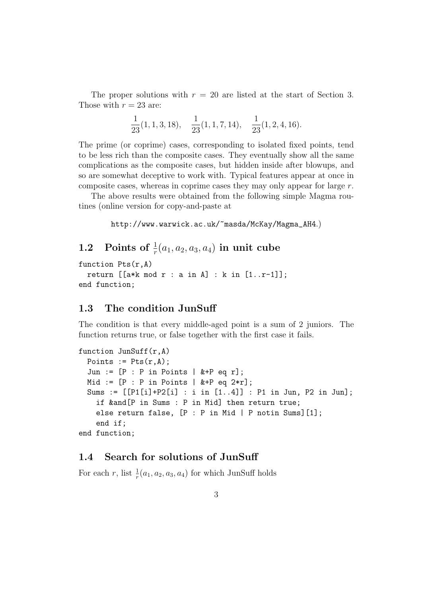The proper solutions with  $r = 20$  are listed at the start of Section 3. Those with  $r = 23$  are:

$$
\frac{1}{23}(1, 1, 3, 18), \quad \frac{1}{23}(1, 1, 7, 14), \quad \frac{1}{23}(1, 2, 4, 16).
$$

The prime (or coprime) cases, corresponding to isolated fixed points, tend to be less rich than the composite cases. They eventually show all the same complications as the composite cases, but hidden inside after blowups, and so are somewhat deceptive to work with. Typical features appear at once in composite cases, whereas in coprime cases they may only appear for large  $r$ .

The above results were obtained from the following simple Magma routines (online version for copy-and-paste at

```
http://www.warwick.ac.uk/~masda/McKay/Magma_AH4.)
```

```
1.2 Points of \frac{1}{r}(a_1, a_2, a_3, a_4) in unit cube
```

```
function Pts(r,A)
  return [[a*k \mod r : a \text{ in } A] : k \text{ in } [1..r-1]];
end function;
```
## 1.3 The condition JunSuff

The condition is that every middle-aged point is a sum of 2 juniors. The function returns true, or false together with the first case it fails.

```
function JunSuff(r,A)
  Points := Pts(r, A);
  Jun := [P : P in Points | &+P eq r];
  Mid := [P : P in Points | &+P eq 2*r];Sums := [[P1[i]+P2[i] : i in [1..4]] : P1 in Jun, P2 in Jun];
    if &and[P in Sums : P in Mid] then return true;
    else return false, [P : P in Mid | P notin Sums][1];
    end if;
end function;
```
## 1.4 Search for solutions of JunSuff

For each r, list  $\frac{1}{r}(a_1, a_2, a_3, a_4)$  for which JunSuff holds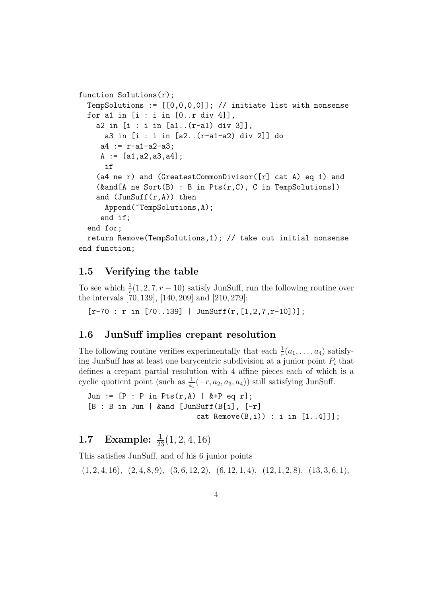```
function Solutions(r);
  TempSolutions := [[0,0,0,0]]; // initiate list with nonsense
  for a1 in [i : i in [0..r div 4]],a2 in [i : i in [a1..(r-a1) div 3]],
      a3 in [i : i in [a2..(r-a1-a2) div 2]] do
     a4 := r-a1-a2-a3;A := [a1, a2, a3, a4];if
    (a4 ne r) and (GreatestCommonDivisor([r] cat A) eq 1) and
    (kand [A ne Sort(B) : B in Pts(r, C), C in TempSolutions])and (JunSuff(r,A)) then
      Append(~TempSolutions,A);
     end if;
  end for;
  return Remove(TempSolutions,1); // take out initial nonsense
```

```
end function;
```
## 1.5 Verifying the table

To see which  $\frac{1}{r}(1, 2, 7, r - 10)$  satisfy JunSuff, run the following routine over the intervals [70, 139], [140, 209] and [210, 279]:

 $[r-70 : r in [70..139] | JunSuff(r, [1,2,7,r-10])];$ 

## 1.6 JunSuff implies crepant resolution

The following routine verifies experimentally that each  $\frac{1}{r}(a_1, \ldots, a_4)$  satisfying JunSuff has at least one barycentric subdivision at a junior point  $P_i$  that defines a crepant partial resolution with 4 affine pieces each of which is a cyclic quotient point (such as  $\frac{1}{a_1}(-r, a_2, a_3, a_4)$ ) still satisfying JunSuff.

Jun :=  $[P : P in Pts(r,A) | &+P eq r];$  $[B : B in Jun |$  &and  $[JunSuff(B[i], [-r]]]$ cat  $Remove(B,i))$ : i in  $[1..4]]$ ;

# **1.7** Example:  $\frac{1}{23}(1, 2, 4, 16)$

This satisfies JunSuff, and of his 6 junior points

 $(1, 2, 4, 16), (2, 4, 8, 9), (3, 6, 12, 2), (6, 12, 1, 4), (12, 1, 2, 8), (13, 3, 6, 1),$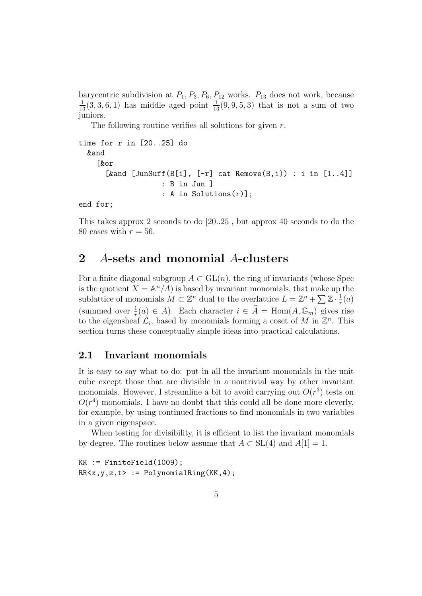barycentric subdivision at  $P_1$ ,  $P_3$ ,  $P_6$ ,  $P_{12}$  works.  $P_{13}$  does not work, because  $\frac{1}{13}(3,3,6,1)$  has middle aged point  $\frac{1}{13}(9,9,5,3)$  that is not a sum of two juniors.

The following routine verifies all solutions for given r.

```
time for r in [20..25] do
  &and
    [&or
      [\&and [JunSuff(B[i], [-r] cat Remove(B,i)) : i in [1..4]]
                    : B in Jun ]
                    : A in Solutions(r)];
```
end for;

This takes approx 2 seconds to do [20..25], but approx 40 seconds to do the 80 cases with  $r = 56$ .

## 2 A-sets and monomial A-clusters

For a finite diagonal subgroup  $A \subset GL(n)$ , the ring of invariants (whose Spec is the quotient  $X = \mathbb{A}^n / A$  is based by invariant monomials, that make up the sublattice of monomials  $M \subset \mathbb{Z}^n$  dual to the overlattice  $L = \mathbb{Z}^n + \sum \mathbb{Z} \cdot \frac{1}{r}$  $rac{1}{r}(\underline{a})$ (summed over  $\frac{1}{r}(\underline{a}) \in A$ ). Each character  $i \in \widehat{A} = \text{Hom}(A, \mathbb{G}_m)$  gives rise to the eigensheaf  $\mathcal{L}_i$ , based by monomials forming a coset of M in  $\mathbb{Z}^n$ . This section turns these conceptually simple ideas into practical calculations.

## 2.1 Invariant monomials

It is easy to say what to do: put in all the invariant monomials in the unit cube except those that are divisible in a nontrivial way by other invariant monomials. However, I streamline a bit to avoid carrying out  $O(r^3)$  tests on  $O(r<sup>4</sup>)$  monomials. I have no doubt that this could all be done more cleverly, for example, by using continued fractions to find monomials in two variables in a given eigenspace.

When testing for divisibility, it is efficient to list the invariant monomials by degree. The routines below assume that  $A \subset SL(4)$  and  $A[1] = 1$ .

 $KK := FiniteField(1009)$ ;  $RR < x, y, z, t$  := PolynomialRing(KK, 4);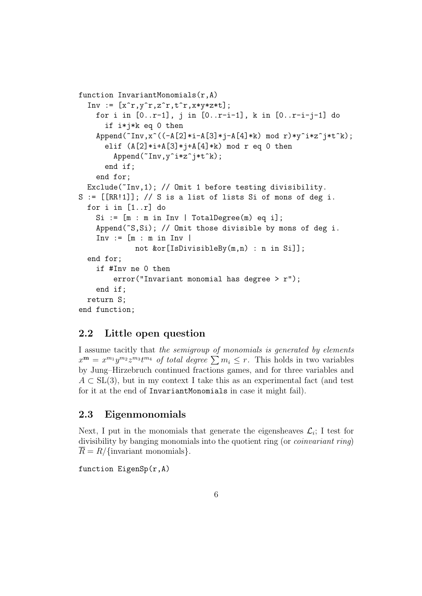```
function InvariantMonomials(r,A)
  Inv := [x^r, y^r, z^r, t^r, x^*y^*z*t];
    for i in [0..r-1], j in [0..r-i-1], k in [0..r-i-j-1] do
      if i*j*k eq 0 then
    Append("Inv,x^((-A[2]*i-A[3]*j-A[4]*k) mod r)*y^i*x^j*t^k);elif (A[2]*i+A[3]*j+A[4]*k) mod r eq 0 then
        Append(~Inv,y^i*z^j*t^k);
      end if;
    end for;
  Exclude(~Inv,1); // Omit 1 before testing divisibility.
S := [[RR!1]]; // S is a list of lists Si of mons of deg i.
  for i in [1..r] do
    Si := [m : m in Inv | TotalDegree(m) eq i];Append(~S,Si); // Omit those divisible by mons of deg i.
    Inv := [m : m in Inv |not &or[IsDivisibleBy(m,n) : n in Si]];
  end for;
    if #Inv ne 0 then
        error("Invariant monomial has degree > r");
    end if;
  return S;
end function;
```
## 2.2 Little open question

I assume tacitly that the semigroup of monomials is generated by elements  $x^{\mathbf{m}} = x^{m_1}y^{m_2}z^{m_3}t^{m_4}$  of total degree  $\sum m_i \leq r$ . This holds in two variables by Jung–Hirzebruch continued fractions games, and for three variables and  $A \subset SL(3)$ , but in my context I take this as an experimental fact (and test for it at the end of InvariantMonomials in case it might fail).

#### 2.3 Eigenmonomials

Next, I put in the monomials that generate the eigensheaves  $\mathcal{L}_i$ ; I test for divisibility by banging monomials into the quotient ring (or coinvariant ring)  $R = R/\{\text{invariant monomials}\}.$ 

function EigenSp(r,A)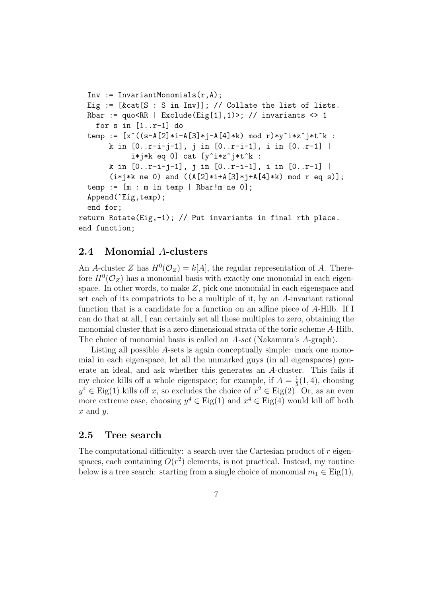```
Inv := InvariantMonomials(r, A);Eig := [&cat[S : S in Inv]]; // Collate the list of lists.
  Rbar := quo<RR | Exclude(Eig[1],1)>; // invariants <> 1
    for s in [1..r-1] do
  temp := [x^*((s-A[2]*i-A[3]*j-A[4]*k) \mod r)*y^i*x^j*t^k :
       k in [0..r-i-j-1], j in [0..r-i-1], i in [0..r-1] |
            i*j*k eq 0] cat [y^i*z^j*t^k :k in [0..r-i-j-1], j in [0..r-i-1], i in [0..r-1] |
       (i * j * k \neq 0) and ((A[2]*i+A[3]*j+A[4]*k) \mod r \neq s);
  temp := [m : m in temp | Rbar!m ne 0];Append(~Eig,temp);
  end for;
return Rotate(Eig,-1); // Put invariants in final rth place.
end function;
```
### 2.4 Monomial A-clusters

An A-cluster Z has  $H^0(\mathcal{O}_Z) = k[A]$ , the regular representation of A. Therefore  $H^0(\mathcal{O}_Z)$  has a monomial basis with exactly one monomial in each eigenspace. In other words, to make Z, pick one monomial in each eigenspace and set each of its compatriots to be a multiple of it, by an A-invariant rational function that is a candidate for a function on an affine piece of A-Hilb. If I can do that at all, I can certainly set all these multiples to zero, obtaining the monomial cluster that is a zero dimensional strata of the toric scheme A-Hilb. The choice of monomial basis is called an A-set (Nakamura's A-graph).

Listing all possible A-sets is again conceptually simple: mark one monomial in each eigenspace, let all the unmarked guys (in all eigenspaces) generate an ideal, and ask whether this generates an A-cluster. This fails if my choice kills off a whole eigenspace; for example, if  $A = \frac{1}{5}$  $\frac{1}{5}(1,4)$ , choosing  $y^4 \in$  Eig(1) kills off x, so excludes the choice of  $x^2 \in$  Eig(2). Or, as an even more extreme case, choosing  $y^4 \in$  Eig(1) and  $x^4 \in$  Eig(4) would kill off both  $x$  and  $y$ .

#### 2.5 Tree search

The computational difficulty: a search over the Cartesian product of  $r$  eigenspaces, each containing  $O(r^2)$  elements, is not practical. Instead, my routine below is a tree search: starting from a single choice of monomial  $m_1 \in$  Eig(1),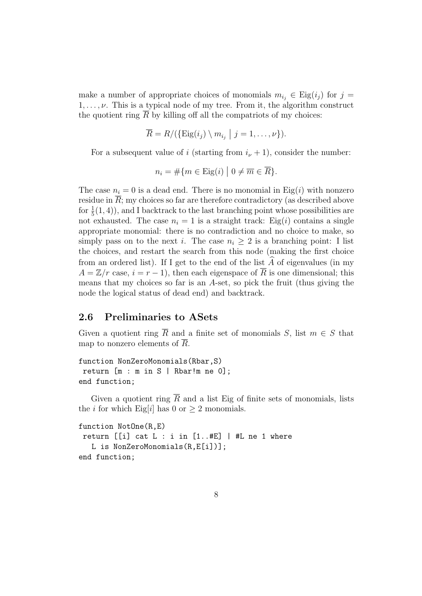make a number of appropriate choices of monomials  $m_{i_j} \in \text{Eig}(i_j)$  for  $j =$  $1, \ldots, \nu$ . This is a typical node of my tree. From it, the algorithm construct the quotient ring  $\overline{R}$  by killing off all the compatriots of my choices:

$$
\overline{R} = R/(\{\text{Eig}(i_j) \setminus m_{i_j} \mid j = 1, \ldots, \nu\}).
$$

For a subsequent value of i (starting from  $i_{\nu} + 1$ ), consider the number:

$$
n_i = \#\{m \in \text{Eig}(i) \mid 0 \neq \overline{m} \in \overline{R}\}.
$$

The case  $n_i = 0$  is a dead end. There is no monomial in Eig(i) with nonzero residue in  $\overline{R}$ ; my choices so far are therefore contradictory (as described above for  $\frac{1}{5}(1,4)$ , and I backtrack to the last branching point whose possibilities are not exhausted. The case  $n_i = 1$  is a straight track: Eig(i) contains a single appropriate monomial: there is no contradiction and no choice to make, so simply pass on to the next i. The case  $n_i \geq 2$  is a branching point: I list the choices, and restart the search from this node (making the first choice from an ordered list). If I get to the end of the list  $\widehat{A}$  of eigenvalues (in my  $A = \mathbb{Z}/r$  case,  $i = r - 1$ , then each eigenspace of  $\overline{R}$  is one dimensional; this means that my choices so far is an A-set, so pick the fruit (thus giving the node the logical status of dead end) and backtrack.

#### 2.6 Preliminaries to ASets

Given a quotient ring  $\overline{R}$  and a finite set of monomials S, list  $m \in S$  that map to nonzero elements of  $\overline{R}$ .

function NonZeroMonomials(Rbar,S) return [m : m in S | Rbar!m ne 0]; end function;

Given a quotient ring  $\overline{R}$  and a list Eig of finite sets of monomials, lists the *i* for which Eig[*i*] has 0 or  $\geq$  2 monomials.

```
function NotOne(R,E)
 return [[i] cat L : i in [1..#E] | #L ne 1 where
   L is NonZeroMonomials(R,E[i])];
end function;
```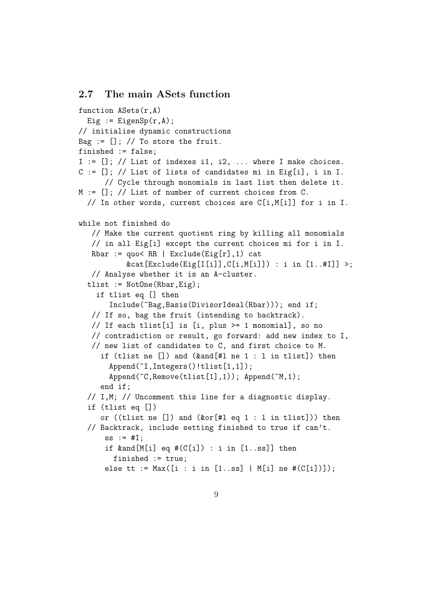#### 2.7 The main ASets function

```
function ASets(r,A)
  Eig := EigenSp(r,A);
// initialise dynamic constructions
Bag := []; // To store the fruit.
finished := false;
I := []; // List of indexes i1, i2, ... where I make choices.
C := []; // List of lists of candidates mi in Eig[i], i in I.
      // Cycle through monomials in last list then delete it.
M := []; // List of number of current choices from C.
  // In other words, current choices are C[i,M[i]] for i in I.
while not finished do
   // Make the current quotient ring by killing all monomials
   // in all Eig[i] except the current choices mi for i in I.
   Rbar := quo< RR | Exclude(Eig[r], 1) cat
           &cat[Exclude(Eig[I[i]], C[i], M[i]]) : i in [1..#I]] >;// Analyse whether it is an A-cluster.
  tlist := NotOne(Rbar,Eig);
    if tlist eq [] then
       Include(~Bag,Basis(DivisorIdeal(Rbar))); end if;
   // If so, bag the fruit (intending to backtrack).
   // If each tlist[i] is [i, plus >= 1 monomial], so no
   // contradiction or result, go forward: add new index to I,
   // new list of candidates to C, and first choice to M.
     if (tlist ne []) and (&and[#l ne 1 : l in tlist]) then
       Append(~I,Integers()!tlist[1,1]);
       Append(~C,Remove(tlist[1],1)); Append(~M,1);
     end if;
  // I,M; // Uncomment this line for a diagnostic display.
  if (tlist eq [])
     or ((tlist ne []) and (kor[#1 eq 1 : 1 in tlist])) then
  // Backtrack, include setting finished to true if can't.
      ss := #I;if \&and[M[i] eq \#(C[i]) : i in [1..ss]] then
        finished := true;
      else tt := Max([i : i in [1..ss] | M[i] ne #(C[i])]);
```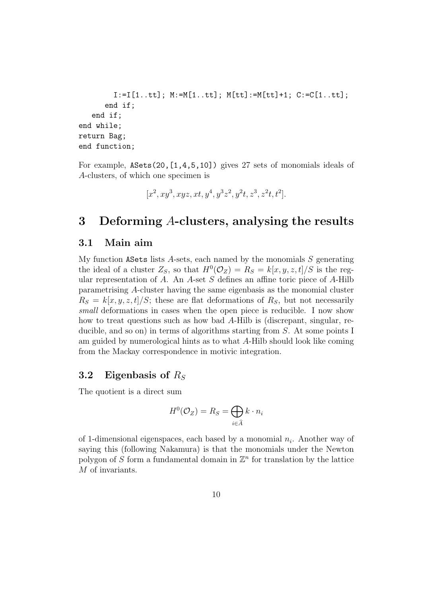```
I:=I[1..tt]; M:=M[1..tt]; M[tt]:=M[tt]+1; C:=C[1..tt];end if;
   end if;
end while;
return Bag;
end function;
```
For example, ASets(20,[1,4,5,10]) gives 27 sets of monomials ideals of A-clusters, of which one specimen is

$$
[x^2, xy^3, xyz, xt, y^4, y^3z^2, y^2t, z^3, z^2t, t^2].
$$

## 3 Deforming A-clusters, analysing the results

#### 3.1 Main aim

My function ASets lists A-sets, each named by the monomials  $S$  generating the ideal of a cluster  $Z_s$ , so that  $H^0(\mathcal{O}_Z) = R_s = k[x, y, z, t]/S$  is the regular representation of  $A$ . An  $A$ -set  $S$  defines an affine toric piece of  $A$ -Hilb parametrising A-cluster having the same eigenbasis as the monomial cluster  $R_S = k[x, y, z, t]/S$ ; these are flat deformations of  $R_S$ , but not necessarily small deformations in cases when the open piece is reducible. I now show how to treat questions such as how bad A-Hilb is (discrepant, singular, reducible, and so on) in terms of algorithms starting from S. At some points I am guided by numerological hints as to what A-Hilb should look like coming from the Mackay correspondence in motivic integration.

#### 3.2 Eigenbasis of  $R<sub>S</sub>$

The quotient is a direct sum

$$
H^{0}(\mathcal{O}_{Z}) = R_{S} = \bigoplus_{i \in \widehat{A}} k \cdot n_{i}
$$

of 1-dimensional eigenspaces, each based by a monomial  $n_i$ . Another way of saying this (following Nakamura) is that the monomials under the Newton polygon of  $S$  form a fundamental domain in  $\mathbb{Z}^n$  for translation by the lattice M of invariants.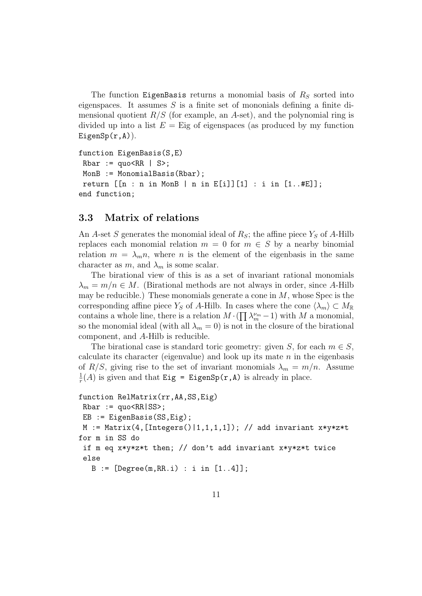The function EigenBasis returns a monomial basis of  $R<sub>S</sub>$  sorted into eigenspaces. It assumes  $S$  is a finite set of mononials defining a finite dimensional quotient  $R/S$  (for example, an A-set), and the polynomial ring is divided up into a list  $E =$  Eig of eigenspaces (as produced by my function  $EigenSp(r,A)$ .

```
function EigenBasis(S,E)
 Rbar := quo < RR | S>;
MonB := MonomialBasis(Rbar);
 return [[n : n in MonB | n in E[i]][1] : i in [1..#E]],end function;
```
### 3.3 Matrix of relations

An A-set S generates the monomial ideal of  $R<sub>S</sub>$ ; the affine piece  $Y<sub>S</sub>$  of A-Hilb replaces each monomial relation  $m = 0$  for  $m \in S$  by a nearby binomial relation  $m = \lambda_m n$ , where *n* is the element of the eigenbasis in the same character as m, and  $\lambda_m$  is some scalar.

The birational view of this is as a set of invariant rational monomials  $\lambda_m = m/n \in M$ . (Birational methods are not always in order, since A-Hilb may be reducible.) These monomials generate a cone in  $M$ , whose Spec is the corresponding affine piece  $Y_S$  of A-Hilb. In cases where the cone  $\langle \lambda_m \rangle \subset M_{\mathbb{R}}$ contains a whole line, there is a relation  $M \cdot (\prod \lambda_m^{\nu_m} - 1)$  with M a monomial, so the monomial ideal (with all  $\lambda_m = 0$ ) is not in the closure of the birational component, and A-Hilb is reducible.

The birational case is standard toric geometry: given S, for each  $m \in S$ , calculate its character (eigenvalue) and look up its mate  $n$  in the eigenbasis of  $R/S$ , giving rise to the set of invariant monomials  $\lambda_m = m/n$ . Assume 1  $\frac{1}{r}(A)$  is given and that  $\text{Eig} = \text{EigenSp}(\mathbf{r}, A)$  is already in place.

```
function RelMatrix(rr,AA,SS,Eig)
 Rbar := quo < RR|SS;
 EB := EigenBasis(SS,Eig);
 M := Matrix(4, [Integers() | 1,1,1,1]); // add invariant x*y*z*tfor m in SS do
 if m eq x*y*z*t then; // don't add invariant x*y*z*t twice
 else
   B := [Degree(m, RR.i) : i in [1..4]];
```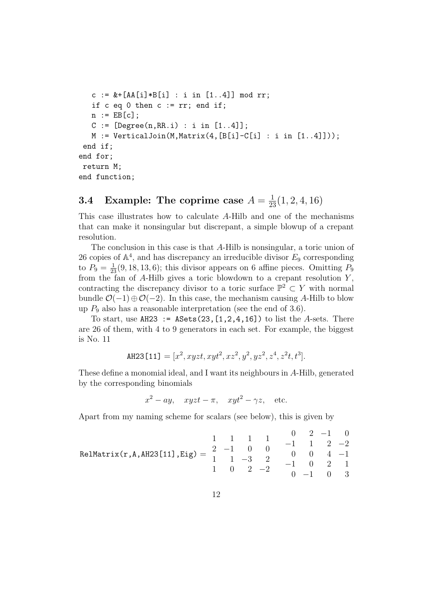```
c := &+[AA[i]*B[i] : i in [1..4]] mod rr;if c eq 0 then c := rr; end if;
  n := EB[c];C := [Degree(n, RR.i) : i in [1..4]];M := VerticalJoin(M,Matrix(4, [B[i]-C[i] : i in [1..4]]));end if;
end for;
return M;
end function;
```
# **3.4** Example: The coprime case  $A = \frac{1}{23}(1, 2, 4, 16)$

This case illustrates how to calculate A-Hilb and one of the mechanisms that can make it nonsingular but discrepant, a simple blowup of a crepant resolution.

The conclusion in this case is that A-Hilb is nonsingular, a toric union of 26 copies of  $\mathbb{A}^4$ , and has discrepancy an irreducible divisor  $E_9$  corresponding to  $P_9 = \frac{1}{23}(9, 18, 13, 6)$ ; this divisor appears on 6 affine pieces. Omitting  $P_9$ from the fan of  $A$ -Hilb gives a toric blowdown to a crepant resolution  $Y$ , contracting the discrepancy divisor to a toric surface  $\mathbb{P}^2 \subset Y$  with normal bundle  $\mathcal{O}(-1) \oplus \mathcal{O}(-2)$ . In this case, the mechanism causing A-Hilb to blow up  $P_9$  also has a reasonable interpretation (see the end of 3.6).

To start, use  $AH23$  :=  $ASEts(23, [1,2,4,16])$  to list the A-sets. There are 26 of them, with 4 to 9 generators in each set. For example, the biggest is No. 11

$$
A H 23 [11] = [x^2, xyzt, xyt^2, xz^2, y^2, yz^2, z^4, z^2t, t^3].
$$

These define a monomial ideal, and I want its neighbours in A-Hilb, generated by the corresponding binomials

$$
x^2 - ay
$$
,  $xyzt - \pi$ ,  $xyt^2 - \gamma z$ , etc.

Apart from my naming scheme for scalars (see below), this is given by

$$
RelMatrix(r, A, AH23[11], Eig) = \begin{bmatrix} 1 & 1 & 1 & 1 & 0 & 2 & -1 & 0 \\ 2 & -1 & 0 & 0 & -1 & 1 & 2 & -2 \\ 1 & 1 & -3 & 2 & 0 & 0 & 4 & -1 \\ 1 & 0 & 2 & -2 & 0 & -1 & 0 & 3 \end{bmatrix}
$$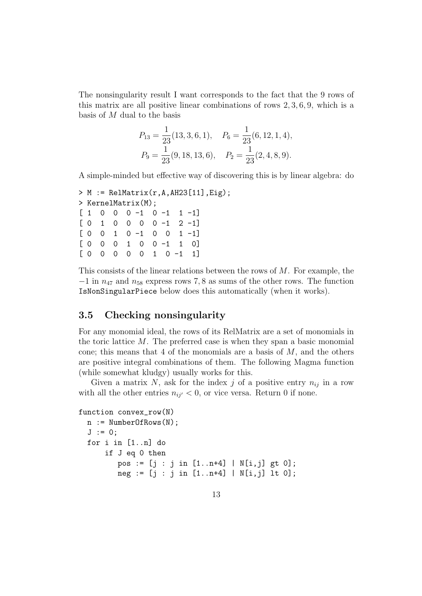The nonsingularity result I want corresponds to the fact that the 9 rows of this matrix are all positive linear combinations of rows 2, 3, 6, 9, which is a basis of M dual to the basis

$$
P_{13} = \frac{1}{23}(13, 3, 6, 1), \quad P_6 = \frac{1}{23}(6, 12, 1, 4),
$$
  

$$
P_9 = \frac{1}{23}(9, 18, 13, 6), \quad P_2 = \frac{1}{23}(2, 4, 8, 9).
$$

A simple-minded but effective way of discovering this is by linear algebra: do

```
> M := \text{Re}lMatrix(r, A, AH23[11],Eig);
> KernelMatrix(M);
[1 \ 0 \ 0 \ 0 \ -1 \ 0 \ -1 \ 1 \ -1][0 \ 1 \ 0 \ 0 \ 0 \ 0 \ -1 \ 2 \ -1][ 0 0 1 0 -1 0 0 1 -1]
[ 0 0 0 1 0 0 -1 1 0]
[ 0 0 0 0 0 1 0 -1 1]
```
This consists of the linear relations between the rows of  $M$ . For example, the  $-1$  in  $n_{47}$  and  $n_{58}$  express rows 7, 8 as sums of the other rows. The function IsNonSingularPiece below does this automatically (when it works).

## 3.5 Checking nonsingularity

For any monomial ideal, the rows of its RelMatrix are a set of monomials in the toric lattice  $M$ . The preferred case is when they span a basic monomial cone; this means that 4 of the monomials are a basis of  $M$ , and the others are positive integral combinations of them. The following Magma function (while somewhat kludgy) usually works for this.

Given a matrix N, ask for the index j of a positive entry  $n_{ij}$  in a row with all the other entries  $n_{ij'} < 0$ , or vice versa. Return 0 if none.

```
function convex_row(N)
 n := NumberOfRows(N);
  J := 0;for i in [1..n] do
      if J eq 0 then
         pos := [j : j in [1..n+4] | N[i,j] gt 0];neg := [j : j in [1..n+4] | N[i,j] 1t 0];
```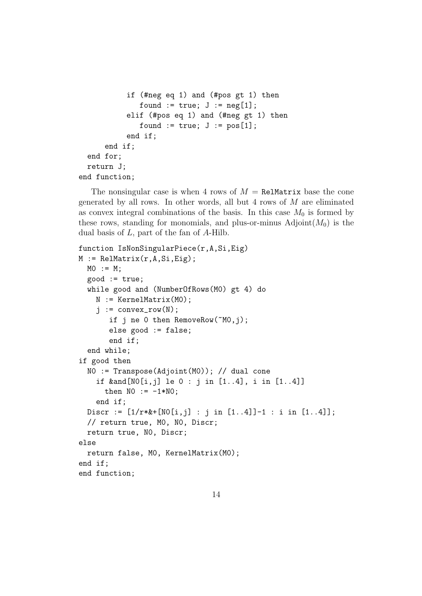```
if (#neg eq 1) and (#pos gt 1) then
              found := true; J := neg[1];elif (#pos eq 1) and (#neg gt 1) then
              found := true; J := pos[1];end if;
      end if;
  end for;
  return J;
end function;
```
The nonsingular case is when 4 rows of  $M = \text{Re}$  RelMatrix base the cone generated by all rows. In other words, all but 4 rows of M are eliminated as convex integral combinations of the basis. In this case  $M_0$  is formed by these rows, standing for monomials, and plus-or-minus  $\text{Adjoint}(M_0)$  is the dual basis of L, part of the fan of A-Hilb.

```
function IsNonSingularPiece(r,A,Si,Eig)
M := \text{Re} \text{Matrix}(r, A, S_i, Eig);
 MO := M;good := true;while good and (NumberOfRows(M0) gt 4) do
    N := KernelMatrix(MO);
    j := \text{convex\_row}(N);if j ne 0 then RemoveRow(~M0,j);
       else good := false;
       end if;
  end while;
if good then
  N0 := Transpose(Adjoint(M0)); // dual cone
    if &and[N0[i,j] le 0 : j in [1..4], i in [1..4]]
      then NO := -1 * NO;end if;
  Discr := [1/r * & (N0[i,j] : j in [1..4]] - 1 : i in [1..4]];
  // return true, M0, N0, Discr;
  return true, N0, Discr;
else
  return false, M0, KernelMatrix(M0);
end if;
end function;
```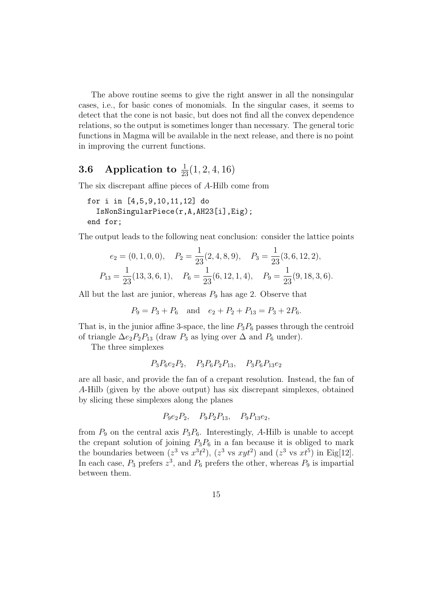The above routine seems to give the right answer in all the nonsingular cases, i.e., for basic cones of monomials. In the singular cases, it seems to detect that the cone is not basic, but does not find all the convex dependence relations, so the output is sometimes longer than necessary. The general toric functions in Magma will be available in the next release, and there is no point in improving the current functions.

# **3.6** Application to  $\frac{1}{23}(1, 2, 4, 16)$

The six discrepant affine pieces of A-Hilb come from

```
for i in [4,5,9,10,11,12] do
  IsNonSingularPiece(r,A,AH23[i],Eig);
end for;
```
The output leads to the following neat conclusion: consider the lattice points

$$
e_2 = (0, 1, 0, 0),
$$
  $P_2 = \frac{1}{23}(2, 4, 8, 9),$   $P_3 = \frac{1}{23}(3, 6, 12, 2),$   
 $P_{13} = \frac{1}{23}(13, 3, 6, 1),$   $P_6 = \frac{1}{23}(6, 12, 1, 4),$   $P_9 = \frac{1}{23}(9, 18, 3, 6).$ 

All but the last are junior, whereas  $P_9$  has age 2. Observe that

$$
P_9 = P_3 + P_6
$$
 and  $e_2 + P_2 + P_{13} = P_3 + 2P_6$ .

That is, in the junior affine 3-space, the line  $P_3P_6$  passes through the centroid of triangle  $\Delta e_2 P_2 P_{13}$  (draw  $P_3$  as lying over  $\Delta$  and  $P_6$  under).

The three simplexes

$$
P_3P_6e_2P_2, \quad P_3P_6P_2P_{13}, \quad P_3P_6P_{13}e_2
$$

are all basic, and provide the fan of a crepant resolution. Instead, the fan of A-Hilb (given by the above output) has six discrepant simplexes, obtained by slicing these simplexes along the planes

$$
P_9e_2P_2
$$
,  $P_9P_2P_{13}$ ,  $P_9P_{13}e_2$ ,

from  $P_9$  on the central axis  $P_3P_6$ . Interestingly, A-Hilb is unable to accept the crepant solution of joining  $P_3P_6$  in a fan because it is obliged to mark the boundaries between  $(z^3 \text{ vs } x^3t^2)$ ,  $(z^3 \text{ vs } xyt^2)$  and  $(z^3 \text{ vs } xt^5)$  in Eig[12]. In each case,  $P_3$  prefers  $z^3$ , and  $P_6$  prefers the other, whereas  $P_9$  is impartial between them.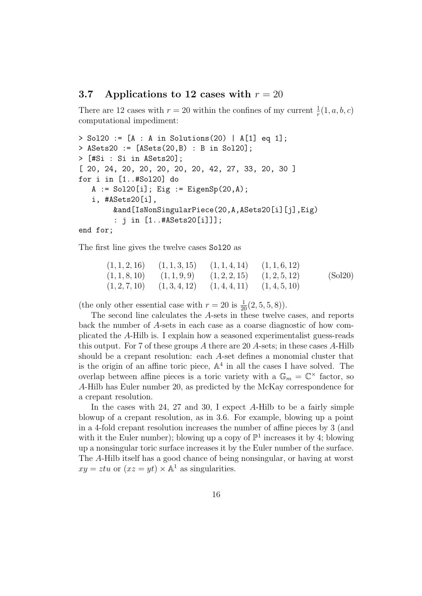#### 3.7 Applications to 12 cases with  $r = 20$

There are 12 cases with  $r = 20$  within the confines of my current  $\frac{1}{r}(1, a, b, c)$ computational impediment:

```
> Sol20 := [A : A in Solutions(20) | A[1] eq 1];
> ASets20 := [ASets(20,B) : B in Sol20];
> [#Si : Si in ASets20];
[ 20, 24, 20, 20, 20, 20, 20, 42, 27, 33, 20, 30 ]
for i in [1..#Sol20] do
   A := Sol20[i]; Eig := EigenSp(20,A);
   i, #ASets20[i],
        &and[IsNonSingularPiece(20,A,ASets20[i][j],Eig)
        : j in [1..#ASets20[i]]];
end for;
```
The first line gives the twelve cases Sol20 as

$$
\begin{array}{cccccc}\n(1,1,2,16) & (1,1,3,15) & (1,1,4,14) & (1,1,6,12) \\
(1,1,8,10) & (1,1,9,9) & (1,2,2,15) & (1,2,5,12) \\
(1,2,7,10) & (1,3,4,12) & (1,4,4,11) & (1,4,5,10)\n\end{array}
$$
\n(Sol20)

(the only other essential case with  $r = 20$  is  $\frac{1}{20}(2, 5, 5, 8)$ ).

The second line calculates the A-sets in these twelve cases, and reports back the number of A-sets in each case as a coarse diagnostic of how complicated the A-Hilb is. I explain how a seasoned experimentalist guess-reads this output. For 7 of these groups A there are 20 A-sets; in these cases A-Hilb should be a crepant resolution: each A-set defines a monomial cluster that is the origin of an affine toric piece,  $\mathbb{A}^4$  in all the cases I have solved. The overlap between affine pieces is a toric variety with a  $\mathbb{G}_m = \mathbb{C}^\times$  factor, so A-Hilb has Euler number 20, as predicted by the McKay correspondence for a crepant resolution.

In the cases with 24, 27 and 30, I expect A-Hilb to be a fairly simple blowup of a crepant resolution, as in 3.6. For example, blowing up a point in a 4-fold crepant resolution increases the number of affine pieces by 3 (and with it the Euler number); blowing up a copy of  $\mathbb{P}^1$  increases it by 4; blowing up a nonsingular toric surface increases it by the Euler number of the surface. The A-Hilb itself has a good chance of being nonsingular, or having at worst  $xy = ztu$  or  $(xz = yt) \times \mathbb{A}^1$  as singularities.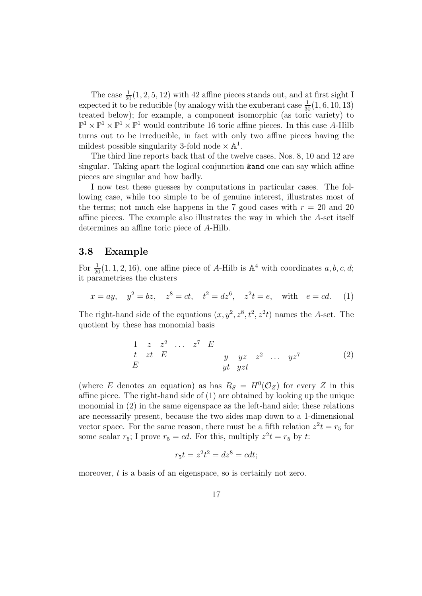The case  $\frac{1}{20}(1, 2, 5, 12)$  with 42 affine pieces stands out, and at first sight I expected it to be reducible (by analogy with the exuberant case  $\frac{1}{30}(1,6,10,13)$ treated below); for example, a component isomorphic (as toric variety) to  $\mathbb{P}^1 \times \mathbb{P}^1 \times \mathbb{P}^1 \times \mathbb{P}^1$  would contribute 16 toric affine pieces. In this case A-Hilb turns out to be irreducible, in fact with only two affine pieces having the mildest possible singularity 3-fold node  $\times \mathbb{A}^1$ .

The third line reports back that of the twelve cases, Nos. 8, 10 and 12 are singular. Taking apart the logical conjunction &and one can say which affine pieces are singular and how badly.

I now test these guesses by computations in particular cases. The following case, while too simple to be of genuine interest, illustrates most of the terms; not much else happens in the 7 good cases with  $r = 20$  and 20 affine pieces. The example also illustrates the way in which the A-set itself determines an affine toric piece of A-Hilb.

#### 3.8 Example

For  $\frac{1}{20}(1, 1, 2, 16)$ , one affine piece of A-Hilb is  $\mathbb{A}^4$  with coordinates  $a, b, c, d$ ; it parametrises the clusters

$$
x = ay
$$
,  $y^2 = bz$ ,  $z^8 = ct$ ,  $t^2 = dz^6$ ,  $z^2t = e$ , with  $e = cd$ . (1)

The right-hand side of the equations  $(x, y^2, z^8, t^2, z^2t)$  names the A-set. The quotient by these has monomial basis

$$
\begin{array}{ccccccccc}\n1 & z & z^2 & \dots & z^7 & E \\
t & zt & E & & y & yz & z^2 & \dots & yz^7 \\
E & & & & yt & yzt\n\end{array} \tag{2}
$$

(where E denotes an equation) as has  $R_S = H^0(\mathcal{O}_Z)$  for every Z in this affine piece. The right-hand side of (1) are obtained by looking up the unique monomial in (2) in the same eigenspace as the left-hand side; these relations are necessarily present, because the two sides map down to a 1-dimensional vector space. For the same reason, there must be a fifth relation  $z^2t = r_5$  for some scalar  $r_5$ ; I prove  $r_5 = cd$ . For this, multiply  $z^2t = r_5$  by t:

$$
r_5t = z^2t^2 = dz^8 = cdt;
$$

moreover, t is a basis of an eigenspace, so is certainly not zero.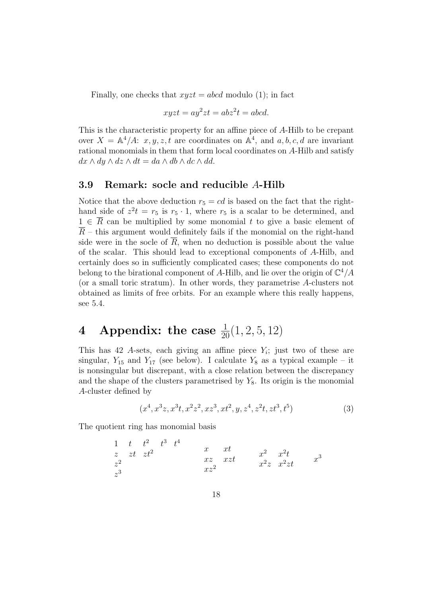Finally, one checks that  $xyzt = abcd$  modulo (1); in fact

$$
xyzt = ay^2zt = abz^2t = abcd.
$$

This is the characteristic property for an affine piece of A-Hilb to be crepant over  $X = \mathbb{A}^4/A$ :  $x, y, z, t$  are coordinates on  $\mathbb{A}^4$ , and  $a, b, c, d$  are invariant rational monomials in them that form local coordinates on A-Hilb and satisfy  $dx \wedge dy \wedge dz \wedge dt = da \wedge db \wedge dc \wedge dd.$ 

#### 3.9 Remark: socle and reducible A-Hilb

Notice that the above deduction  $r_5 = cd$  is based on the fact that the righthand side of  $z^2t = r_5$  is  $r_5 \cdot 1$ , where  $r_5$  is a scalar to be determined, and  $1 \in \overline{R}$  can be multiplied by some monomial t to give a basic element of  $\overline{R}$  – this argument would definitely fails if the monomial on the right-hand side were in the socle of  $\overline{R}$ , when no deduction is possible about the value of the scalar. This should lead to exceptional components of A-Hilb, and certainly does so in sufficiently complicated cases; these components do not belong to the birational component of A-Hilb, and lie over the origin of  $\mathbb{C}^4/A$ (or a small toric stratum). In other words, they parametrise A-clusters not obtained as limits of free orbits. For an example where this really happens, see 5.4.

# **4** Appendix: the case  $\frac{1}{20}(1, 2, 5, 12)$

This has 42 A-sets, each giving an affine piece  $Y_i$ ; just two of these are singular,  $Y_{15}$  and  $Y_{17}$  (see below). I calculate  $Y_8$  as a typical example – it is nonsingular but discrepant, with a close relation between the discrepancy and the shape of the clusters parametrised by  $Y_8$ . Its origin is the monomial A-cluster defined by

$$
(x4, x3z, x3t, x2z2, xz3, xt2, y, z4, z2t, zt3, t5)
$$
\n(3)

The quotient ring has monomial basis

1 t t<sup>2</sup> t 3 t 4 z zt zt<sup>2</sup> z 2 z 3 x xt xz xzt xz<sup>2</sup> x <sup>2</sup> x 2 t x 2 z x<sup>2</sup> zt <sup>x</sup> 3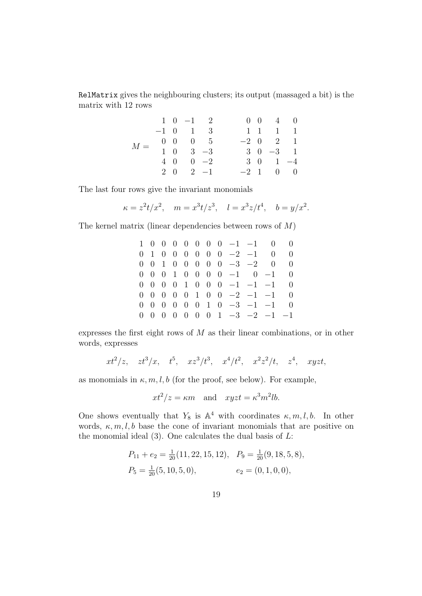RelMatrix gives the neighbouring clusters; its output (massaged a bit) is the matrix with 12 rows

|       |  | $1 \t 0 \t -1 \t 2$         |  | $0 \t 0 \t 4 \t 0$           |  |
|-------|--|-----------------------------|--|------------------------------|--|
| $M =$ |  | $-1$ 0 1 3                  |  | $1 \t1 \t1 \t1$              |  |
|       |  | $0 \quad 0 \quad 0 \quad 5$ |  | $-2 \quad 0 \quad 2 \quad 1$ |  |
|       |  | $1 \t 0 \t 3 \t -3$         |  | $3 \t 0 \t -3 \t 1$          |  |
|       |  | $4 \t0 \t0 \t-2$            |  | $3 \t0 \t1 -4$               |  |
|       |  | $2 \t 0 \t 2 \t -1$         |  | $-2$ 1 0 0                   |  |

The last four rows give the invariant monomials

$$
\kappa = z^2 t/x^2
$$
,  $m = x^3 t/z^3$ ,  $l = x^3 z/t^4$ ,  $b = y/x^2$ .

The kernel matrix (linear dependencies between rows of  $M$ )

|  |  |  |  |  | $1 \t0 \t0 \t0 \t0 \t0 \t0 \t0 \t-1 \t-1 \t0 \t0$  |  |
|--|--|--|--|--|----------------------------------------------------|--|
|  |  |  |  |  | $0 \t1 \t0 \t0 \t0 \t0 \t0 \t0 \t-2 \t-1 \t0 \t0$  |  |
|  |  |  |  |  | $0 \t0 \t1 \t0 \t0 \t0 \t0 \t0 \t-3 \t-2 \t0 \t0$  |  |
|  |  |  |  |  | $0 \t0 \t0 \t1 \t0 \t0 \t0 \t0 \t-1 \t0 \t-1 \t0$  |  |
|  |  |  |  |  | $0\; 0\; 0\; 0\; 1\; 0\; 0\; 0\; -1\; -1\; -1\; 0$ |  |
|  |  |  |  |  | $0 \t0 \t0 \t0 \t0 \t1 \t0 \t0 \t-2 \t-1 \t-1 \t0$ |  |
|  |  |  |  |  | $0 \t0 \t0 \t0 \t0 \t0 \t1 \t0 \t-3 \t-1 \t-1 \t0$ |  |
|  |  |  |  |  | $0 \t0 \t0 \t0 \t0 \t0 \t0 \t1 -3 -2 -1 -1$        |  |

expresses the first eight rows of  $M$  as their linear combinations, or in other words, expresses

$$
xt^2/z
$$
,  $zt^3/x$ ,  $t^5$ ,  $xz^3/t^3$ ,  $x^4/t^2$ ,  $x^2z^2/t$ ,  $z^4$ ,  $xyzt$ ,

as monomials in  $\kappa, m, l, b$  (for the proof, see below). For example,

$$
xt^2/z = \kappa m
$$
 and  $xyzt = \kappa^3 m^2 lb$ .

One shows eventually that  $Y_8$  is  $\mathbb{A}^4$  with coordinates  $\kappa, m, l, b$ . In other words,  $\kappa, m, l, b$  base the cone of invariant monomials that are positive on the monomial ideal  $(3)$ . One calculates the dual basis of  $L$ :

$$
P_{11} + e_2 = \frac{1}{20}(11, 22, 15, 12), \quad P_9 = \frac{1}{20}(9, 18, 5, 8),
$$
  
\n $P_5 = \frac{1}{20}(5, 10, 5, 0), \quad e_2 = (0, 1, 0, 0),$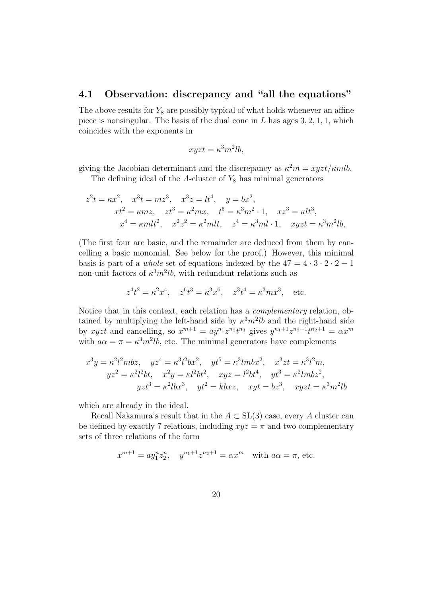## 4.1 Observation: discrepancy and "all the equations"

The above results for  $Y_8$  are possibly typical of what holds whenever an affine piece is nonsingular. The basis of the dual cone in  $L$  has ages  $3, 2, 1, 1$ , which coincides with the exponents in

$$
xyzt = \kappa^3 m^2 lb,
$$

giving the Jacobian determinant and the discrepancy as  $\kappa^2 m = xyzt/\kappa m l b$ .

The defining ideal of the A-cluster of  $Y_8$  has minimal generators

$$
z^{2}t = \kappa x^{2}, \quad x^{3}t = mz^{3}, \quad x^{3}z = lt^{4}, \quad y = bx^{2},
$$
  
\n
$$
xt^{2} = \kappa mz, \quad zt^{3} = \kappa^{2} mx, \quad t^{5} = \kappa^{3} m^{2} \cdot 1, \quad xz^{3} = \kappa lt^{3},
$$
  
\n
$$
x^{4} = \kappa mlt^{2}, \quad x^{2}z^{2} = \kappa^{2} mlt, \quad z^{4} = \kappa^{3} ml \cdot 1, \quad xyzt = \kappa^{3} m^{2} lb,
$$

(The first four are basic, and the remainder are deduced from them by cancelling a basic monomial. See below for the proof.) However, this minimal basis is part of a *whole* set of equations indexed by the  $47 = 4 \cdot 3 \cdot 2 \cdot 2 - 1$ non-unit factors of  $\kappa^3 m^2 l b$ , with redundant relations such as

$$
z^{4}t^{2} = \kappa^{2}x^{4}, \quad z^{6}t^{3} = \kappa^{3}x^{6}, \quad z^{3}t^{4} = \kappa^{3}mx^{3},
$$
 etc.

Notice that in this context, each relation has a complementary relation, obtained by multiplying the left-hand side by  $\kappa^3 m^2 l b$  and the right-hand side by xyzt and cancelling, so  $x^{m+1} = ay^{n_1}z^{n_2}t^{n_3}$  gives  $y^{n_1+1}z^{n_2+1}t^{n_2+1} = \alpha x^m$ with  $a\alpha = \pi = \kappa^3 m^2 l b$ , etc. The minimal generators have complements

$$
x^{3}y = \kappa^{2} \{b^{2}mbz, \quad yz^{4} = \kappa^{3} \{c^{2}bx^{2}, \quad yt^{5} = \kappa^{3}lmbx^{2}, \quad x^{3}zt = \kappa^{3} \{c^{2}m, \quad yz^{2} = \kappa^{2} \{c^{2}bt, \quad x^{2}y = \kappa^{2}bt^{2}, \quad xyz = \{c^{2}bt^{4}, \quad yt^{3} = \kappa^{2}lmbz^{2}, \quad yzt^{3} = \kappa^{2}lbx^{3}, \quad yt^{2} = kbxz, \quad xyt = bz^{3}, \quad xyzt = \kappa^{3}m^{2}lb
$$

which are already in the ideal.

Recall Nakamura's result that in the  $A \subset SL(3)$  case, every A cluster can be defined by exactly 7 relations, including  $xyz = \pi$  and two complementary sets of three relations of the form

$$
x^{m+1} = ay_1^n z_2^n
$$
,  $y^{n_1+1} z^{n_2+1} = \alpha x^m$  with  $a\alpha = \pi$ , etc.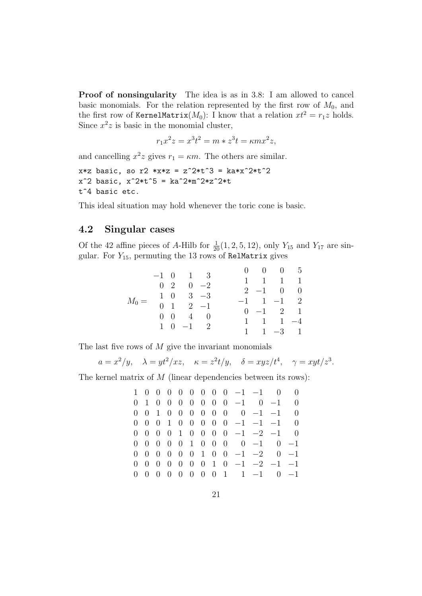Proof of nonsingularity The idea is as in 3.8: I am allowed to cancel basic monomials. For the relation represented by the first row of  $M_0$ , and the first row of KernelMatrix( $M_0$ ): I know that a relation  $xt^2 = r_1z$  holds. Since  $x^2z$  is basic in the monomial cluster,

$$
r_1 x^2 z = x^3 t^2 = m * z^3 t = \kappa m x^2 z,
$$

and cancelling  $x^2z$  gives  $r_1 = \kappa m$ . The others are similar.

 $x*z$  basic, so r2 \* $x*z = z^2*t^3 = ka*x^2*t^2$  $x^2$  basic,  $x^2*t^5 = ka^2*m^2*z^2*t$ t^4 basic etc.

This ideal situation may hold whenever the toric cone is basic.

## 4.2 Singular cases

Of the 42 affine pieces of A-Hilb for  $\frac{1}{20}(1, 2, 5, 12)$ , only  $Y_{15}$  and  $Y_{17}$  are singular. For  $Y_{15}$ , permuting the 13 rows of RelMatrix gives

|         |  | $-1$ 0 1 3          |  | $0 \quad 0 \quad 0 \quad 5$  |  |
|---------|--|---------------------|--|------------------------------|--|
| $M_0 =$ |  |                     |  | $1 \quad 1 \quad 1 \quad 1$  |  |
|         |  | $0 \t2 \t0 \t-2$    |  | $2 -1 0 0$                   |  |
|         |  | $1 \t0 \t3 \t-3$    |  | $-1$ 1 $-1$ 2                |  |
|         |  | $0 \t1 \t2 \t-1$    |  |                              |  |
|         |  | $0 \t 0 \t 4 \t 0$  |  | $0 \t -1 \t 2 \t 1$          |  |
|         |  | $1 \t 0 \t -1 \t 2$ |  | $1 \quad 1 \quad 1 \quad -4$ |  |
|         |  |                     |  | $1 \t 1 \t -3 \t 1$          |  |

The last five rows of  $M$  give the invariant monomials

$$
a = x^2/y
$$
,  $\lambda = yt^2/xz$ ,  $\kappa = z^2t/y$ ,  $\delta = xyz/t^4$ ,  $\gamma = xyt/z^3$ .

The kernel matrix of  $M$  (linear dependencies between its rows):

|            |  |  |  |  | $1 \t0 \t0 \t0 \t0 \t0 \t0 \t0 \t0 \t0 \t-1 \t-1 \t0 \t0$ |  |  |
|------------|--|--|--|--|-----------------------------------------------------------|--|--|
|            |  |  |  |  | $0 \t1 \t0 \t0 \t0 \t0 \t0 \t0 \t0 \t-1 \t0 \t-1 \t0$     |  |  |
|            |  |  |  |  | $0 \t0 \t1 \t0 \t0 \t0 \t0 \t0 \t0 \t0 \t-1 \t-1 \t0$     |  |  |
|            |  |  |  |  | $0 \t0 \t0 \t1 \t0 \t0 \t0 \t0 \t0 \t-1 \t-1 \t-1 \t0$    |  |  |
|            |  |  |  |  | $0 \t0 \t0 \t0 \t1 \t0 \t0 \t0 \t-1 \t-2 \t-1 \t0$        |  |  |
|            |  |  |  |  | $0$ 0 0 0 0 1 0 0 0 0 -1 0 -1                             |  |  |
|            |  |  |  |  | $0 \t0 \t0 \t0 \t0 \t0 \t1 \t0 \t0 \t-1 \t-2 \t0 \t-1$    |  |  |
|            |  |  |  |  | $0 \t0 \t0 \t0 \t0 \t0 \t0 \t1 \t0 \t-1 \t-2 \t-1 \t-1$   |  |  |
| $0\quad 0$ |  |  |  |  | $0 \t0 \t0 \t0 \t0 \t0 \t1 \t1 -1 \t0 -1$                 |  |  |
|            |  |  |  |  |                                                           |  |  |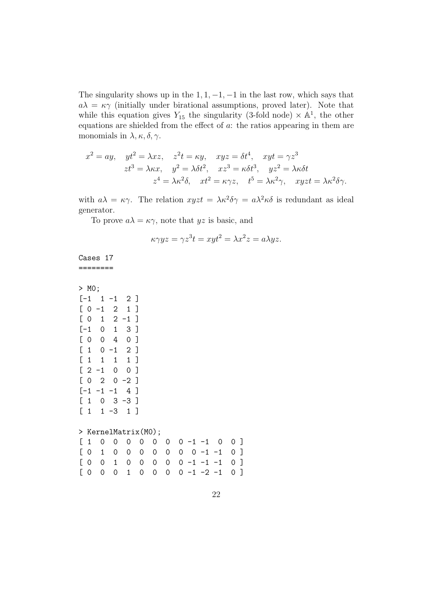The singularity shows up in the  $1, 1, -1, -1$  in the last row, which says that  $a\lambda = \kappa \gamma$  (initially under birational assumptions, proved later). Note that while this equation gives  $Y_{15}$  the singularity (3-fold node)  $\times$   $\mathbb{A}^1$ , the other equations are shielded from the effect of a: the ratios appearing in them are monomials in  $\lambda, \kappa, \delta, \gamma$ .

$$
x^{2} = ay, \quad yt^{2} = \lambda xz, \quad z^{2}t = \kappa y, \quad xyz = \delta t^{4}, \quad xyt = \gamma z^{3}
$$

$$
zt^{3} = \lambda \kappa x, \quad y^{2} = \lambda \delta t^{2}, \quad xz^{3} = \kappa \delta t^{3}, \quad yz^{2} = \lambda \kappa \delta t
$$

$$
z^{4} = \lambda \kappa^{2} \delta, \quad xt^{2} = \kappa \gamma z, \quad t^{5} = \lambda \kappa^{2} \gamma, \quad xyzt = \lambda \kappa^{2} \delta \gamma.
$$

with  $a\lambda = \kappa \gamma$ . The relation  $xyzt = \lambda \kappa^2 \delta \gamma = a\lambda^2 \kappa \delta$  is redundant as ideal generator.

To prove  $a\lambda = \kappa \gamma$ , note that  $yz$  is basic, and

$$
\kappa \gamma yz = \gamma z^3 t = xyt^2 = \lambda x^2 z = a\lambda yz.
$$

Cases 17 ========

|   | > M0;                                  |              |                            |                |          |                     |   |   |            |      |                                     |          |
|---|----------------------------------------|--------------|----------------------------|----------------|----------|---------------------|---|---|------------|------|-------------------------------------|----------|
|   | $[-1]$                                 |              | $1 - 1$                    | 2 <sup>1</sup> |          |                     |   |   |            |      |                                     |          |
| L | $\overline{0}$                         | $-1$         | $\overline{\phantom{0}}^2$ | 1              | -1       |                     |   |   |            |      |                                     |          |
|   | $\begin{bmatrix} 0 \\ 0 \end{bmatrix}$ | 1            |                            | $2 - 1$        | $\lceil$ |                     |   |   |            |      |                                     |          |
|   | $[-1]$                                 | 0            | $\mathbf{1}$               | 3 ]            |          |                     |   |   |            |      |                                     |          |
|   | $\begin{bmatrix} 0 \end{bmatrix}$      | 0            | 4                          | 0 <sub>1</sub> |          |                     |   |   |            |      |                                     |          |
|   | $\begin{bmatrix} 1 \end{bmatrix}$      | 0            | $-1$                       | 2 ]            |          |                     |   |   |            |      |                                     |          |
|   | $\begin{bmatrix} 1 \end{bmatrix}$      | $\mathbf{1}$ | $\mathbf{1}$               | 1              | -1       |                     |   |   |            |      |                                     |          |
|   |                                        | $[2 -1]$     | 0                          | 0 ]            |          |                     |   |   |            |      |                                     |          |
|   | $\begin{bmatrix} 0 \\ 0 \end{bmatrix}$ | $2 -$        |                            | $0 -2$ ]       |          |                     |   |   |            |      |                                     |          |
|   |                                        | $[-1 -1 -1$  |                            | 4]             |          |                     |   |   |            |      |                                     |          |
|   | $\begin{bmatrix} 1 \end{bmatrix}$      | 0            | 3 -3 ]                     |                |          |                     |   |   |            |      |                                     |          |
|   | $\begin{bmatrix} 1 \end{bmatrix}$      |              | $1 - 3$                    | $\mathbf 1$    | - 1      |                     |   |   |            |      |                                     |          |
|   |                                        |              |                            |                |          |                     |   |   |            |      |                                     |          |
|   |                                        |              |                            |                |          | > KernelMatrix(MO); |   |   |            |      |                                     |          |
| L | $\mathbf{1}$                           | 0            | 0                          | 0              | 0        | 0                   | 0 |   | 0 -1 -1    | 0    | 0 ]                                 |          |
| L | 0                                      | 1            | 0                          | 0              | 0        | 0                   | 0 | 0 | 0<br>$-1$  | -1   | 0                                   | $\lceil$ |
| E | $\mathbf 0$                            | 0            | $\mathbf 1$                | 0              | 0        | 0                   | 0 | 0 | $-1$<br>-1 | $-1$ | $\begin{array}{c} \end{array}$<br>0 |          |

 $[0 0 0 1 0 0 0 0 -1 -2 -1 0]$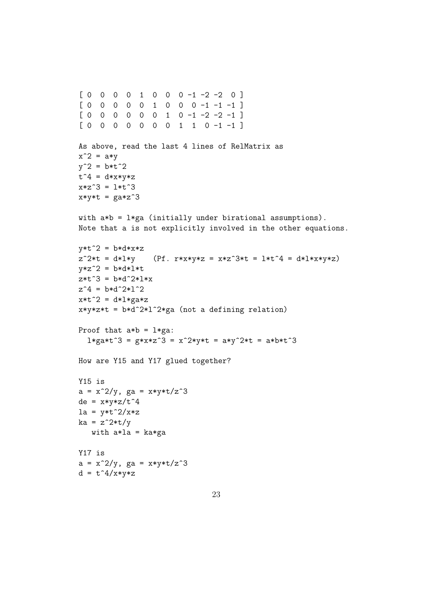```
[0 0 0 1 0 0 0 -1 -2 -2 0][ 0 0 0 0 0 1 0 0 0 -1 -1 -1 ]
[0 \ 0 \ 0 \ 0 \ 0 \ 0 \ 1 \ 0 \ -1 \ -2 \ -2 \ -1][ 0 0 0 0 0 0 0 1 1 0 -1 -1 ]
As above, read the last 4 lines of RelMatrix as
x^2 = a*yy^2 = b*t^2t^4 = d*x*y*zx*z^3 = 1*t^3x*y*t = ga*z^3with a*b = l*ga (initially under birational assumptions).
Note that a is not explicitly involved in the other equations.
y*t^2 = b*d*x*zz^2*t = d*1*y (Pf. r*x*y*z = x*z^3*t = l*t^4 = d*1*x*y*z)
y*z^2 = b*d*l*tz*t^3 = b*d^2*l*xz^4 = b*d^2*l^2x*t^2 = d*1*ga*zx*y*z*t = b*d^2*l^2*ga (not a defining relation)
Proof that a*b = 1*ga:
  l*ga*t^3 = g*x*z^3 = x^2*y*t = a*y^2*t = a*b*t^3How are Y15 and Y17 glued together?
Y15 is
a = x^2/y, ga = x*y*t/z^3de = x*y*z/t^4la = y*t^2/x*zka = z^2*t/ywith a*la = ka*gaY17 is
a = x^2/y, ga = x*y*t/z^3d = t^4/x*y*z
```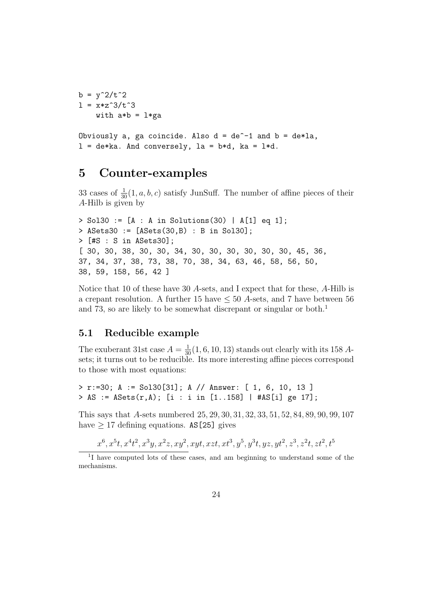$b = y^2/1^2$  $1 = x*z^3/t^3$ with  $a*b = l*ga$ 

```
Obviously a, ga coincide. Also d = de^--1 and b = de^*la,
l = de*ka. And conversely, la = b*d, ka = l*d.
```
## 5 Counter-examples

33 cases of  $\frac{1}{30}(1, a, b, c)$  satisfy JunSuff. The number of affine pieces of their A-Hilb is given by

```
> Sol30 := [A : A in Solutions(30) | A[1] eq 1];
> ASets30 := [ASets(30,B) : B in Sol30];
> [#S : S in ASets30];
[ 30, 30, 38, 30, 30, 34, 30, 30, 30, 30, 30, 30, 45, 36,
37, 34, 37, 38, 73, 38, 70, 38, 34, 63, 46, 58, 56, 50,
38, 59, 158, 56, 42 ]
```
Notice that 10 of these have 30 A-sets, and I expect that for these, A-Hilb is a crepant resolution. A further 15 have  $\leq 50$  A-sets, and 7 have between 56 and 73, so are likely to be somewhat discrepant or singular or both.<sup>1</sup>

## 5.1 Reducible example

The exuberant 31st case  $A = \frac{1}{30}(1, 6, 10, 13)$  stands out clearly with its 158 Asets; it turns out to be reducible. Its more interesting affine pieces correspond to those with most equations:

```
> r:=30; A := Sol30[31]; A // Answer: [ 1, 6, 10, 13 ]
> AS := ASets(r,A); [i : i in [1..158] | #AS[i] ge 17];
```
This says that A-sets numbered 25, 29, 30, 31, 32, 33, 51, 52, 84, 89, 90, 99, 107 have  $\geq$  17 defining equations. AS [25] gives

 $x^6, x^5t, x^4t^2, x^3y, x^2z, xy^2, xyt, xzt, xt^3, y^5, y^3t, yz, yt^2, z^3, z^2t, zt^2, t^5$ 

<sup>&</sup>lt;sup>1</sup>I have computed lots of these cases, and am beginning to understand some of the mechanisms.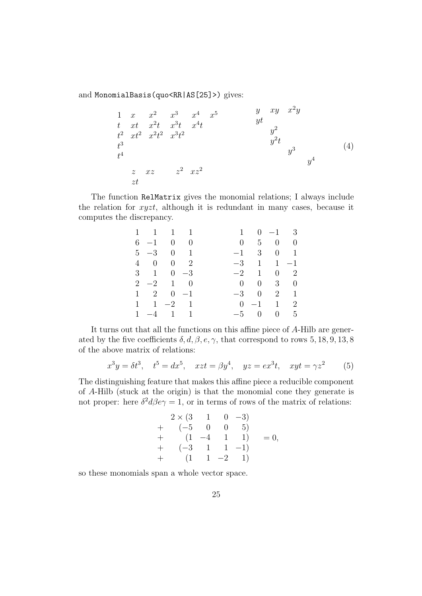and MonomialBasis(quo<RR|AS[25]>) gives:

$$
\begin{array}{ccccccccc}\n1 & x & x^{2} & x^{3} & x^{4} & x^{5} & & y & xy & x^{2}y \\
t & xt & x^{2}t & x^{3}t & x^{4}t & & & y^{t} & & \\
t^{2} & xt^{2} & x^{2}t^{2} & x^{3}t^{2} & & & & y^{2} & \\
t^{3} & & & & & & y^{2} & \\
t^{4} & & & & & & y^{3} & \\
z & xz & z^{2} & xz^{2} & & & & \end{array}
$$
\n
$$
(4)
$$
\n
$$
x^{4}
$$
\n
$$
x^{2}
$$
\n
$$
x^{2}
$$
\n
$$
x^{3}
$$
\n
$$
y^{4}
$$

The function RelMatrix gives the monomial relations; I always include the relation for xyzt, although it is redundant in many cases, because it computes the discrepancy.

| $1 \quad 1 \quad 1 \quad 1$ |  |  | $1 \t 0 \t -1 \t 3$         |  |
|-----------------------------|--|--|-----------------------------|--|
| $6 -1 0 0$                  |  |  | $0 \quad 5 \quad 0 \quad 0$ |  |
| $5 -3 0 1$                  |  |  | $-1$ 3 0 1                  |  |
| $4 \quad 0 \quad 0 \quad 2$ |  |  | $-3$ 1 1 $-1$               |  |
| $3 \t 1 \t 0 \t -3$         |  |  | $-2$ 1 0 2                  |  |
| $2 -2 1 0$                  |  |  | $0 \quad 0 \quad 3 \quad 0$ |  |
| $1 \t 2 \t 0 \t -1$         |  |  | $-3$ 0 2 1                  |  |
| $1 \t 1 \t -2 \t 1$         |  |  | $0 \t -1 \t 1 \t 2$         |  |
| $1 -4 1 1$                  |  |  | $-5$ 0 0 5                  |  |

It turns out that all the functions on this affine piece of A-Hilb are generated by the five coefficients  $\delta, d, \beta, e, \gamma$ , that correspond to rows 5, 18, 9, 13, 8 of the above matrix of relations:

$$
x^3y = \delta t^3
$$
,  $t^5 = dx^5$ ,  $xzt = \beta y^4$ ,  $yz = ex^3t$ ,  $xyt = \gamma z^2$  (5)

The distinguishing feature that makes this affine piece a reducible component of A-Hilb (stuck at the origin) is that the monomial cone they generate is not proper: here  $\delta^2 d\beta e \gamma = 1$ , or in terms of rows of the matrix of relations:

$$
2 \times (3 \quad 1 \quad 0 \quad -3) + \quad (-5 \quad 0 \quad 0 \quad 5) + \quad (1 \quad -4 \quad 1 \quad 1) \quad = 0, + \quad (-3 \quad 1 \quad 1 \quad -1) + \quad (1 \quad 1 \quad -2 \quad 1)
$$

so these monomials span a whole vector space.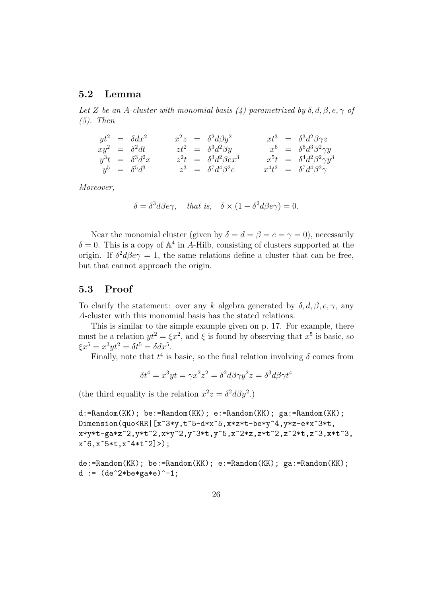#### 5.2 Lemma

Let Z be an A-cluster with monomial basis (4) parametrized by  $\delta, d, \beta, e, \gamma$  of (5). Then

 $yt^2$  =  $\delta dx^2$  $xy^2 = \delta^2 dt$  $y^3t = \delta^3 d^2x$  $y^5$  =  $\delta^5 d^3$  $x^2z = \delta^2 d\beta y^2$  $zt^2$  =  $\delta^3 d^2 \beta y$  $z^2t = \delta^3d^2\beta ex^3$  $z^3 = \delta^7 d^4 \beta^2 e$  $xt^3 = \delta^3 d^2 \beta \gamma z$  $x^6 = \delta^6 d^3 \beta^2 \gamma y$  $x^5t = \delta^4 d^2 \beta^2 \gamma y^3$  $x^4t^2 = \delta^7d^4\beta^2\gamma$ 

Moreover,

 $\delta = \delta^3 d\beta e \gamma$ , that is,  $\delta \times (1 - \delta^2 d\beta e \gamma) = 0$ .

Near the monomial cluster (given by  $\delta = d = \beta = e = \gamma = 0$ ), necessarily  $\delta = 0$ . This is a copy of  $\mathbb{A}^4$  in A-Hilb, consisting of clusters supported at the origin. If  $\delta^2 d\beta e \gamma = 1$ , the same relations define a cluster that can be free, but that cannot approach the origin.

#### 5.3 Proof

To clarify the statement: over any k algebra generated by  $\delta, d, \beta, e, \gamma$ , any A-cluster with this monomial basis has the stated relations.

This is similar to the simple example given on p. 17. For example, there must be a relation  $yt^2 = \xi x^2$ , and  $\xi$  is found by observing that  $x^5$  is basic, so  $\xi x^5 = x^3 y t^2 = \delta t^5 = \delta dx^5.$ 

Finally, note that  $t^4$  is basic, so the final relation involving  $\delta$  comes from

$$
\delta t^4 = x^3 y t = \gamma x^2 z^2 = \delta^2 d\beta \gamma y^2 z = \delta^3 d\beta \gamma t^4
$$

(the third equality is the relation  $x^2z = \delta^2 d\beta y^2$ .)

d:=Random(KK); be:=Random(KK); e:=Random(KK); ga:=Random(KK); Dimension(quo<RR|[x^3\*y,t^5-d\*x^5,x\*z\*t-be\*y^4,y\*z-e\*x^3\*t, x\*y\*t-ga\*z^2,y\*t^2,x\*y^2,y^3\*t,y^5,x^2\*z,z\*t^2,z^2\*t,z^3,x\*t^3,  $x^6, x^5*t, x^4*t^2]$ );

de:=Random(KK); be:=Random(KK); e:=Random(KK); ga:=Random(KK); d :=  $(de^2*be*ga*e)^{-1}$ ;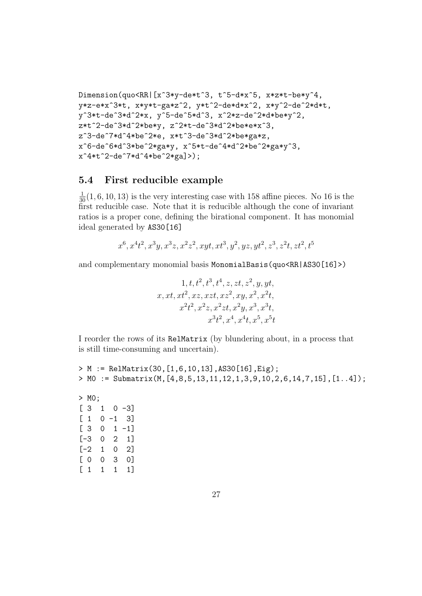```
Dimension(quo<RR|[x^3*y-de*t^3, t^5-d*x^5, x*z*t-be*y^4,
y*z-e*x^3*t, x*y*t-ga*z^2, y*t^2-de*d*x^2, x*y^2-de^2*d*t,
y^3*t-de^3*d^2*x, y^5-de^5*d^3, x^2*z-de^2*d*be*y^2,
z*t^2-de^3*d^2*be*y, z^2*t-de^3*d^2*be*e*x^3,
z^3-de^7*d^4*be^2*e, x*t^3-de^3*d^2*be*ga*z,
x^6-de^6*d^3*be^2*ga*y, x^5*t-de^4*d^2*be^2*ga*y^3,
x^4*t^2-de^7*d^4*be^2*ga]);
```
### 5.4 First reducible example

 $\frac{1}{30}(1,6,10,13)$  is the very interesting case with 158 affine pieces. No 16 is the first reducible case. Note that it is reducible although the cone of invariant ratios is a proper cone, defining the birational component. It has monomial ideal generated by AS30[16]

$$
x^6, x^4t^2, x^3y, x^3z, x^2z^2, xyt, xt^3, y^2, yz, yt^2, z^3, z^2t, zt^2, t^5
$$

and complementary monomial basis MonomialBasis(quo<RR|AS30[16]>)

$$
1, t, t2, t3, t4, z, zt, z2, y, yt,x, xt, xt2, xz, xzt, xz2, xy, x2, x2t,x2t2, x2z, x2zt, x2y, x3, x3t,x3t2, x4, x4t, x5, x5t
$$

I reorder the rows of its RelMatrix (by blundering about, in a process that is still time-consuming and uncertain).

```
> M := RelMatrix(30,[1,6,10,13],AS30[16],Eig);
> M0 := Submatrix(M,[4,8,5,13,11,12,1,3,9,10,2,6,14,7,15],[1..4]);
> M0;
[ 3 1 0 -3]
[1 \ 0 \ -1 \ 3][3 \ 0 \ 1 -1][-3 \ 0 \ 2 \ 1][-2 \ 1 \ 0 \ 2][ 0 0 3 0]
[ 1 1 1 1]
```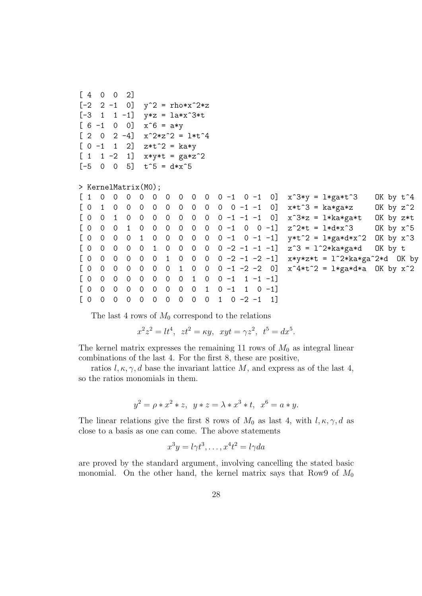```
[4 \ 0 \ 0 \ 2][-2 \ 2 \ -1 \ 0] y^2 = \text{rho} * x^2 * z[-3 \ 1 \ 1 \ -1] y*z = \text{law}^3*t[6 -1 0 0] x^6 = a*y[2 \ 0 \ 2 -4] x^2x^2 = 1*t^4[ 0 -1 1 2] z*t<sup>2</sup> = ka*y
[1 \ 1 \ -2 \ 1] x*y*t = ga*z^2[-5 \ 0 \ 0 \ 5] t^5 = d*x^5> KernelMatrix(M0);
[1 \ 0 \ 0 \ 0 \ 0 \ 0 \ 0 \ 0 \ 0 \ 0 \ 0 \ 0 \ -1 \ 0 \ -1 \ 0] x^3 \rightarrow y = 1 \times ga*t^3 OK by t^4
[0 \ 1 \ 0 \ 0 \ 0 \ 0 \ 0 \ 0 \ 0 \ 0 \ 0 \ 0 \ -1 \ -1 \ 0] x*t^3 = ka*ga*z OK by z^2
[0 \ 0 \ 1 \ 0 \ 0 \ 0 \ 0 \ 0 \ 0 \ 0 \ 0 \ -1 \ -1 \ -1 \ 0] x^3xz = 1*ka*ga*t OK by z*t
[0 \ 0 \ 1 \ 0 \ 0 \ 0 \ 0 \ 0 \ 0 \ 0 \ -1 \ 0 \ -1] z<sup>2</sup>*t = l*d*x<sup>2</sup>3 OK by x<sup>2</sup>5
[0 \ 0 \ 0 \ 0 \ 1 \ 0 \ 0 \ 0 \ 0 \ 0 \ -1 \ 0 \ -1 \ -1] y*t^2 = l*ga*d*x^2 OK by x^3
[0 \ 0 \ 0 \ 0 \ 1 \ 0 \ 0 \ 0 \ 0 \ -2 \ -1 \ -1 \ -1] z<sup>2</sup>3 = l<sup>2</sup>*ka*ga*d OK by t
[0 \ 0 \ 0 \ 0 \ 0 \ 1 \ 0 \ 0 \ 0 \ -2 \ -1 \ -2 \ -1] x*y*z*t = 1^2*ka*ga^2*d OK by
[0 \ 0 \ 0 \ 0 \ 0 \ 0 \ 0 \ 1 \ 0 \ 0 \ -1 \ -2 \ -2 \ 0] x^4 * t^2 = 1 * g a * d * a \ 0K by x^2[0 0 0 0 0 0 0 0 1 0 0 -1 1 -1 -1][ 0 0 0 0 0 0 0 0 0 1 0 -1 1 0 -1]
[0 0 0 0 0 0 0 0 0 0 1 0 -2 -1 1]
```
The last 4 rows of  $M_0$  correspond to the relations

$$
x^2z^2 = lt^4
$$
,  $zt^2 = \kappa y$ ,  $xyt = \gamma z^2$ ,  $t^5 = dx^5$ .

The kernel matrix expresses the remaining 11 rows of  $M_0$  as integral linear combinations of the last 4. For the first 8, these are positive,

ratios  $l, \kappa, \gamma, d$  base the invariant lattice M, and express as of the last 4, so the ratios monomials in them.

$$
y^2 = \rho * x^2 * z, \ \ y * z = \lambda * x^3 * t, \ \ x^6 = a * y.
$$

The linear relations give the first 8 rows of  $M_0$  as last 4, with  $l, \kappa, \gamma, d$  as close to a basis as one can come. The above statements

$$
x^3y = l\gamma t^3, \dots, x^4t^2 = l\gamma da
$$

are proved by the standard argument, involving cancelling the stated basic monomial. On the other hand, the kernel matrix says that Row9 of  $M_0$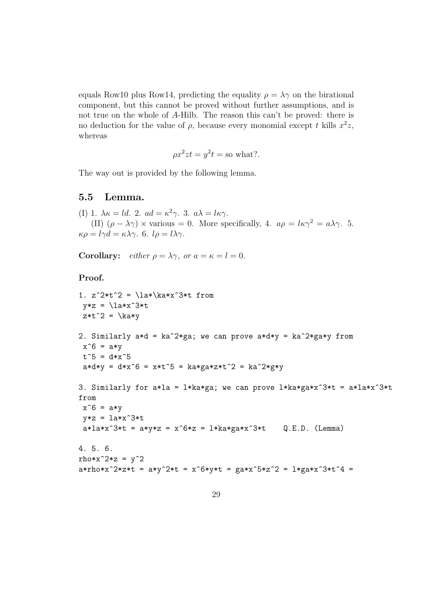equals Row10 plus Row14, predicting the equality  $\rho = \lambda \gamma$  on the birational component, but this cannot be proved without further assumptions, and is not true on the whole of A-Hilb. The reason this can't be proved: there is no deduction for the value of  $\rho$ , because every monomial except t kills  $x^2z$ , whereas

$$
\rho x^2 z t = y^2 t = \text{so what}?
$$

The way out is provided by the following lemma.

#### 5.5 Lemma.

```
(I) 1. \lambda \kappa = ld. 2. ad = \kappa^2 \gamma. 3. a\lambda = l\kappa \gamma.
      (II) (\rho - \lambda \gamma) \times various = 0. More specifically, 4. a\rho = l\kappa \gamma^2 = a\lambda \gamma. 5.
\kappa \rho = l \gamma d = \kappa \lambda \gamma. 6. l \rho = l \lambda \gamma.
```
**Corollary:** either  $\rho = \lambda \gamma$ , or  $a = \kappa = l = 0$ .

## Proof.

```
1. z^2*t^2 = \lceil x \rceil as x^3*t from
 y*z = \langle la*x^3*tz*t^2 = \kappa * y2. Similarly a*d = ka^2*ga; we can prove a*d*y = ka^2*ga*y from
 x^6 = a*yt^5 = d*x^5a * d * y = d * x^6 = x * t^5 = k a * g a * z * t^2 = k a^2 * g * y3. Similarly for a*la = l*ka*ga; we can prove l*ka*ga*x^3*t = a*la*x^3*t
from
 x^6 = a*yy*z = la*x^3*t
 a*la*x^3*t = a*y*z = x^6*z = l*ka*ga*x^3*t Q.E.D. (Lemma)
4. 5. 6.
rho*x^2*z = y^2a*rho**x^2*z*t = a*y^2*t = x^6*y*t = ga*x^5*z^2 = 1*ga*x^3*t^4 =
```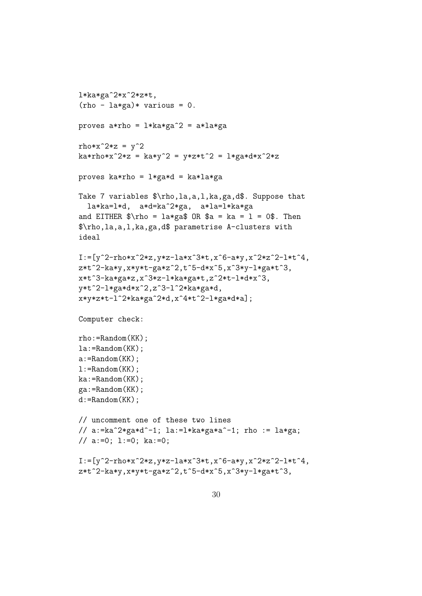```
l*ka*ga^2*x^2*z*t,
(rho - la *ga) * various = 0.proves a*rho = l*ka*ga^2 = a*la*ga
rho*x^2*z = y^2ka*rho*x^2*z = ka*y^2 = y*z*t^2 = l*ga*d*x^2*z
proves ka*rho = l*ga*d = ka*la*ga
Take 7 variables $\rho,la,a,l,ka,ga,d$. Suppose that
  la*ka=l*d, a*d=ka^2*ga, a*la=l*ka*ga
and EITHER \rho = \lceil \frac{2}{\rho} \rceil OR a = ka = 1 = 0$. Then
$\rho,la,a,l,ka,ga,d$ parametrise A-clusters with
ideal
I:=[y^2-rho*x^2*z,y*z-la*x^3*t,x^6-a*y,x^2*z^2-l*t^4,
z*t^2-ka*y,x*y*t-ga*z^2,t^5-d*x^5,x^3*y-l*ga*t^3,
x*t^3-ka*ga*z,x^3*z-l*ka*ga*t,z^2*t-l*d*x^3,
y*t^2-l*ga*d*x^2,z^3-l^2*ka*ga*d,
x*y*z*t-l^2*ka*ga^2*d,x^4*t^2-l*ga*d*a];
Computer check:
rho:=Random(KK);
la:=Random(KK);
a:=Random(KK);
l:=Random(KK);
ka:=Random(KK);
ga:=Random(KK);
d:=Random(KK);
// uncomment one of these two lines
// a:=ka^2*ga*d^-1; la:=l*ka*ga*a^-1; rho := la*ga;
// a:=0; 1:=0; ka:=0;
I:=[y^2-rho*x^2*z,y*z-la*x^3*t,x^6-a*y,x^2*z^2-l*t^4,
z*t^2-ka*y,x*y*t-ga*z^2,t^5-d*x^5,x^3*y-l*ga*t^3,
```